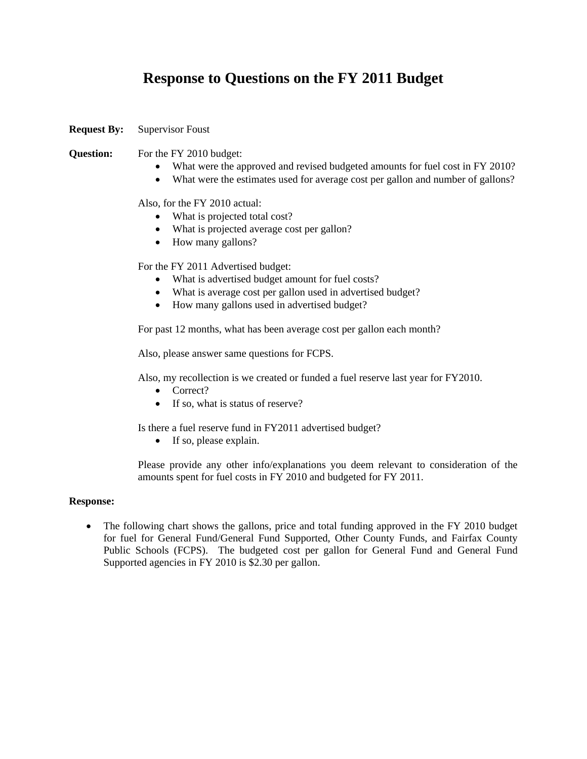# **Response to Questions on the FY 2011 Budget**

**Request By:** Supervisor Foust

# **Question:** For the FY 2010 budget:

- What were the approved and revised budgeted amounts for fuel cost in FY 2010?
- What were the estimates used for average cost per gallon and number of gallons?

## Also, for the FY 2010 actual:

- What is projected total cost?
- What is projected average cost per gallon?
- How many gallons?

### For the FY 2011 Advertised budget:

- What is advertised budget amount for fuel costs?
- What is average cost per gallon used in advertised budget?
- How many gallons used in advertised budget?

For past 12 months, what has been average cost per gallon each month?

Also, please answer same questions for FCPS.

Also, my recollection is we created or funded a fuel reserve last year for FY2010.

- Correct?
- If so, what is status of reserve?

Is there a fuel reserve fund in FY2011 advertised budget?

• If so, please explain.

Please provide any other info/explanations you deem relevant to consideration of the amounts spent for fuel costs in FY 2010 and budgeted for FY 2011.

#### **Response:**

• The following chart shows the gallons, price and total funding approved in the FY 2010 budget for fuel for General Fund/General Fund Supported, Other County Funds, and Fairfax County Public Schools (FCPS). The budgeted cost per gallon for General Fund and General Fund Supported agencies in FY 2010 is \$2.30 per gallon.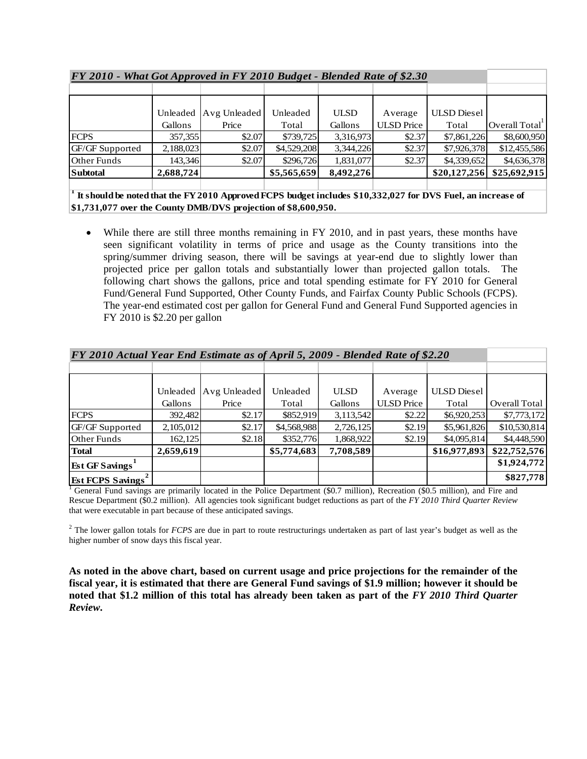| FY 2010 - What Got Approved in FY 2010 Budget - Blended Rate of \$2.30 |           |                       |             |             |                   |                    |               |
|------------------------------------------------------------------------|-----------|-----------------------|-------------|-------------|-------------------|--------------------|---------------|
|                                                                        |           |                       |             |             |                   |                    |               |
|                                                                        |           |                       |             |             |                   |                    |               |
|                                                                        |           | Unleaded Avg Unleaded | Unleaded    | <b>ULSD</b> | Average           | <b>ULSD</b> Diesel |               |
|                                                                        | Gallons   | Price                 | Total       | Gallons     | <b>ULSD</b> Price | Total              | Overall Total |
| <b>FCPS</b>                                                            | 357,355   | \$2.07                | \$739,725   | 3,316,973   | \$2.37            | \$7,861,226        | \$8,600,950   |
| GF/GF Supported                                                        | 2,188,023 | \$2.07                | \$4,529,208 | 3.344.226   | \$2.37            | \$7,926,378        | \$12,455,586  |
| Other Funds                                                            | 143,346   | \$2.07                | \$296,726   | 1,831,077   | \$2.37            | \$4,339,652        | \$4,636,378   |
| <b>Subtotal</b>                                                        | 2,688,724 |                       | \$5,565,659 | 8,492,276   |                   | \$20,127,256       | \$25,692,915  |
|                                                                        |           |                       |             |             |                   |                    |               |

*FY 2010 - What Got Approved in FY 2010 Budget - Blended Rate of \$2.30*

<sup>1</sup> It should be noted that the FY 2010 Approved FCPS budget includes \$10,332,027 for DVS Fuel, an increase of **\$1,731,077 over the County DMB/DVS projection of \$8,600,950.**

• While there are still three months remaining in FY 2010, and in past years, these months have seen significant volatility in terms of price and usage as the County transitions into the spring/summer driving season, there will be savings at year-end due to slightly lower than projected price per gallon totals and substantially lower than projected gallon totals. The following chart shows the gallons, price and total spending estimate for FY 2010 for General Fund/General Fund Supported, Other County Funds, and Fairfax County Public Schools (FCPS). The year-end estimated cost per gallon for General Fund and General Fund Supported agencies in FY 2010 is \$2.20 per gallon

| FY 2010 Actual Year End Estimate as of April 5, 2009 - Blended Rate of \$2.20 |           |              |             |             |                   |                    |               |
|-------------------------------------------------------------------------------|-----------|--------------|-------------|-------------|-------------------|--------------------|---------------|
|                                                                               |           |              |             |             |                   |                    |               |
|                                                                               |           |              |             |             |                   |                    |               |
|                                                                               | Unleaded  | Avg Unleaded | Unleaded    | <b>ULSD</b> | Average           | <b>ULSD</b> Diesel |               |
|                                                                               | Gallons   | Price        | Total       | Gallons     | <b>ULSD</b> Price | Total              | Overall Total |
| <b>FCPS</b>                                                                   | 392,482   | \$2.17       | \$852,919   | 3,113,542   | \$2.22            | \$6,920,253        | \$7,773,172   |
| GF/GF Supported                                                               | 2,105,012 | \$2.17       | \$4,568,988 | 2,726,125   | \$2.19            | \$5,961,826        | \$10,530,814  |
| <b>Other Funds</b>                                                            | 162,125   | \$2.18       | \$352,776   | 1,868,922   | \$2.19            | \$4,095,814        | \$4,448,590   |
| <b>Total</b>                                                                  | 2,659,619 |              | \$5,774,683 | 7,708,589   |                   | \$16,977,893       | \$22,752,576  |
| <b>Est GF Savings</b>                                                         |           |              |             |             |                   |                    | \$1,924,772   |
| <b>Est FCPS Savings</b>                                                       |           |              |             |             |                   |                    | \$827,778     |

*FY 2010 Actual Year End Estimate as of April 5, 2009 - Blended Rate of \$2.20*

<sup>1</sup> General Fund savings are primarily located in the Police Department (\$0.7 million), Recreation (\$0.5 million), and Fire and Rescue Department (\$0.2 million). All agencies took significant budget reductions as part of the *FY 2010 Third Quarter Review* that were executable in part because of these anticipated savings.

<sup>2</sup> The lower gallon totals for *FCPS* are due in part to route restructurings undertaken as part of last year's budget as well as the higher number of snow days this fiscal year.

**As noted in the above chart, based on current usage and price projections for the remainder of the fiscal year, it is estimated that there are General Fund savings of \$1.9 million; however it should be noted that \$1.2 million of this total has already been taken as part of the** *FY 2010 Third Quarter Review***.**